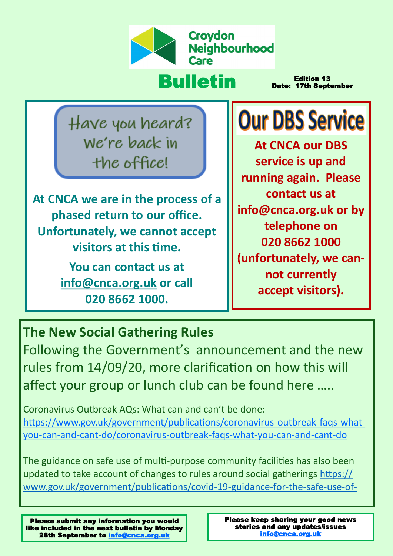

# Bulletin

Edition 13 Date: 17th September

Have you heard? We're back in the office!

**At CNCA we are in the process of a phased return to our office. Unfortunately, we cannot accept visitors at this time.** 

> **You can contact us at [info@cnca.org.uk](mailto:info@cnca.org.uk) or call 020 8662 1000.**

**Our DBS Service** 

**At CNCA our DBS service is up and running again. Please contact us at info@cnca.org.uk or by telephone on 020 8662 1000 (unfortunately, we cannot currently accept visitors).**

## **The New Social Gathering Rules**

Following the Government's announcement and the new rules from 14/09/20, more clarification on how this will affect your group or lunch club can be found here …..

Coronavirus Outbreak AQs: What can and can't be done: [https://www.gov.uk/government/publications/coronavirus](https://www.gov.uk/government/publications/coronavirus-outbreak-faqs-what-you-can-and-cant-do/coronavirus-outbreak-faqs-what-you-can-and-cant-do)-outbreak-faqs-whatyou-can-and-cant-[do/coronavirus](https://www.gov.uk/government/publications/coronavirus-outbreak-faqs-what-you-can-and-cant-do/coronavirus-outbreak-faqs-what-you-can-and-cant-do)-outbreak-faqs-what-you-can-and-cant-do

The guidance on safe use of multi-purpose community facilities has also been updated to take account of changes to rules around social gatherings [https://](https://www.gov.uk/government/publications/covid-19-guidance-for-the-safe-use-of-multi-purpose-community-facilities) [www.gov.uk/government/publications/covid](https://www.gov.uk/government/publications/covid-19-guidance-for-the-safe-use-of-multi-purpose-community-facilities)-19-guidance-for-the-safe-use-of-

Please submit any information you would like included in the next bulletin by Monday 28th September to [info@cnca.org.uk](mailto:info@cnca.org.uk)

Please keep sharing your good news stories and any updates/issues [info@cnca.org.uk](mailto:info@cnca.org.uk)